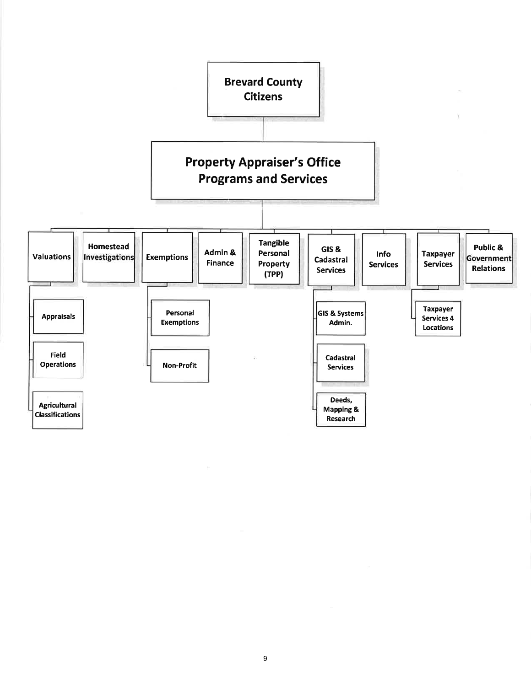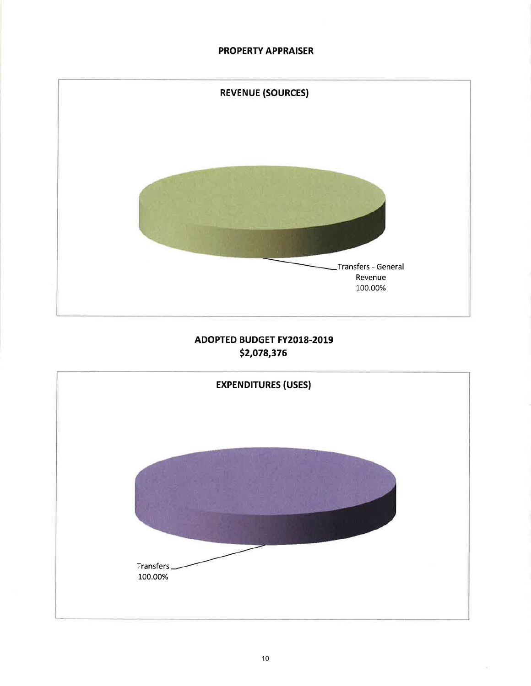## **PROPERTY APPRAISER**



# ADOPTED BUDGET FY2018-2019 \$2,078,376

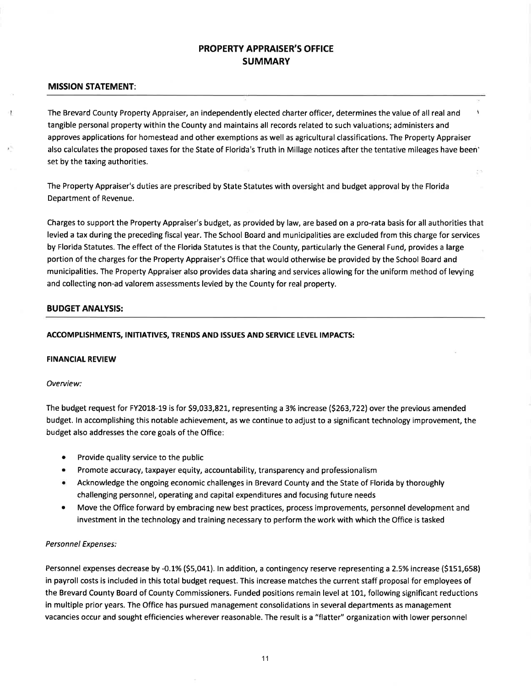## PROPERTY APPRAISER'S OFFICE SUMMARY

### MISSION STATEMENT:

ŧ

The Brevard County Property Appraiser, an independently elected charter officer, determines the value of all real and \ tangible personal property within the County and maintains all records related to such valuations; administers and approves applications for homestead and other exemptions as well as agricultural classifications. The Property Appraiser also calculates the proposed taxes for the State of Florida's Truth in Millage notices after the tentative mileages have been' set by the taxing authorities.

 $7.5$ 

The Property Appraiser's duties are prescribed by State Statutes with oversight and budget approval by the Florida Department of Revenue.

Charges to support the Property Appraiser's budget, as provided by law, are based on a pro-rata basis for all authorities that levied a tax during the preceding fiscal year. The School Board and municipalities are excluded from this charge for services by Florida Statutes. The effect of the Florida Statutes is that the County, particularly the General Fund, provides a large portion of the charges for the Property Appraiser's Office that would otherwise be provided by the School Board and municipalities. The Property Appraiser also provides data sharing and services allowing for the uniform method of levying and collecting non-ad valorem assessments levied by the County for real property.

### BUDGET ANALYSIS:

### ACCOMPLISHMENTS, INITIATIVES, TRENDS AND ISSUES AND SERVICE LEVEL IMPACTS:

#### **FINANCIAL REVIEW**

#### Overview:

The budget request for FY2018-19 is for 59,033,821, representing a 3% increase (5263,722) over the previous amended budget. ln accomplishing this notable achievement, as we continue to adjust to a significant technology improvement, the budget also addresses the core goals of the Office:

- Provide quality service to the public
- Promote accuracy, taxpayer equity, accountability, transparency and professionalism
- Acknowledge the ongoing economic challenges in Brevard County and the State of Florida by thoroughly challenging personnel, operating and capital expenditures and focusing future needs
- Move the Office forward by embracing new best practices, process improvements, personnel development and investment in the technology and training necessary to perform the work with which the Office is tasked

#### Personnel Expenses:

Personnel expenses decrease by -0.1% (\$5,041). In addition, a contingency reserve representing a 2.5% increase (\$151,658) in payroll costs is included in this total budget request. This increase matches the current staff proposal for employees of the Brevard County Board of County Commissioners. Funded positions remain level at 101, following significant reductions in multiple prior years. The Office has pursued management consolidations in several departments as management vacancies occur and sought efficiencies wherever reasonable. The result is a "flatter" organization with lower personnel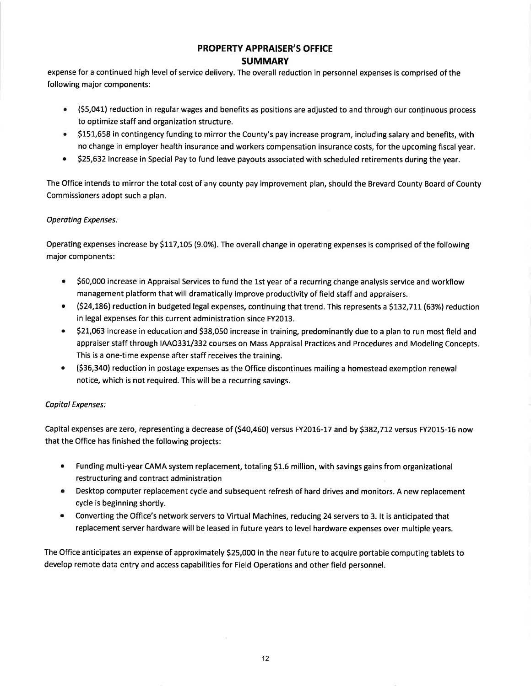## PROPERTY APPRAISER'S OFFICE **SUMMARY**

expense for a continued high level of service delivery. The overall reduction in personnel expenses is comprised of the following major components:

- $\bullet$  (\$5,041) reduction in regular wages and benefits as positions are adjusted to and through our continuous process to optimize staff and organization structure.
- S151,658 in contingency funding to mirror the County's pay increase program, including salary and benefits, with no change in employer health insurance and workers compensation insurance costs, for the upcoming fiscal year.
- 525,632 increase in Special Pay to fund leave payouts associated with scheduled retirements during the year. a

The Office intends to mirror the total cost of any county pay improvement plan, should the Brevard County Board of County Commissioners adopt such a plan.

### Operating Expenses:

Operating expenses increase by \$117,105 (9.0%). The overall change in operating expenses is comprised of the following major components:

- 560,000 increase in Appraisal Services to fund the 1st year of a recurring change analysis service and workflow management platform that will dramatically improve productivity of field staff and appraisers. a
- $\bullet$  (\$24,186) reduction in budgeted legal expenses, continuing that trend. This represents a \$132,711 (63%) reductior in legal expenses for this current administration since FY2013.
- 521,063 increase in education and \$38,050 increase in training, predominantly due to a plan to run most field and appraiser staff through IAAO331/332 courses on Mass Appraisal Practices and Procedures and Modeling Concepts. This is a one-time expense after staff receives the training. a
- (536,340) reduction in postage expenses as the Office discontinues mailing a homestead exemption renewal notice, which is not required. This will be a recurring savings. a

### Copital Expenses:

Capital expenses are zero, representing a decrease of (\$40,460) versus FY2016-17 and by \$382,712 versus FY2015-16 now that the Office has finished the following projects:

- Funding multi-year CAMA system replacement, totaling S1.6 million, with savings gains from organizational restructuring and contract administration a
- Desktop computer replacement cycle and subsequent refresh of hard drives and monitors. A new replacement  $\bullet$ cycle is beginning shortly.
- Converting the Office's network servers to Virtual Machines, reducing 24 servers to 3. lt is anticipated that replacement server hardware will be leased in future years to level hardware expenses over multiple years. a

The Office anticipates an expense of approximately S25,000 in the near future to acquire portable computing tablets to develop remote data entry and access capabilities for Field Operations and other field personnel.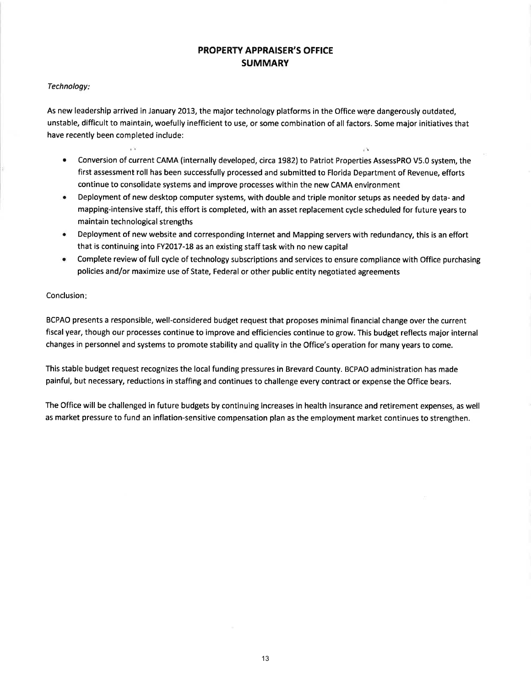## PROPERTY APPRAISER'S OFFICE **SUMMARY**

### Technology

 $\sim 10$ 

As new leadership arrived in January 2013, the major technology platforms in the Office were dangerously outdated, unstable, difficult to maintain, woefully inefficient to use, or some combination of all factors. Some major initiatives that have recently been completed include:

Conversion of current CAMA (internally developed, circa 1982) to Patriot Properties AssessPRO V5.0 system, the first assessment roll has been successfully processed and submitted to Florida Department of Revenue, efforts continue to consolidate systems and improve processes within the new CAMA envifonment

 $\mathbb{R}^n$ 

- Deployment of new desktop computer systems, with double and triple monitor setups as needed by data- and mapping-intensive staff, this effort is completed, with an asset replacement cycle scheduled for future years to maintain technological strengths
- Deployment of new website and corresponding Internet and Mapping servers with redundancy, this is an effort that is continuing into FY2017-18 as an existing staff task with no new capital
- **•** Complete review of full cycle of technology subscriptions and services to ensure compliance with Office purchasing policies and/or maximize use of State, Federal or other public entity negotiated agreements

#### Conclusion:

BCPAO presents a responsible, well-considered budget request that proposes minimal financial change over the current fiscal year, though our processes continue to improve and efficiencies continue to grow. This budget reflects major internal changes in personnel and systems to promote stability and quality in the Office's operation for many years to come.

This stable budget request recognizes the local funding pressures in Brevard County. BCPAO administration has made painful, but necessary, reductions in staffing and continues to challenge every contract or expense the Office bears.

The Office will be challenged in future budgets by continuing increases in health insurance and retirement expenses, as well as market pressure to fund an inflation-sensitive compensation plan as the employment market continues to strengthen.